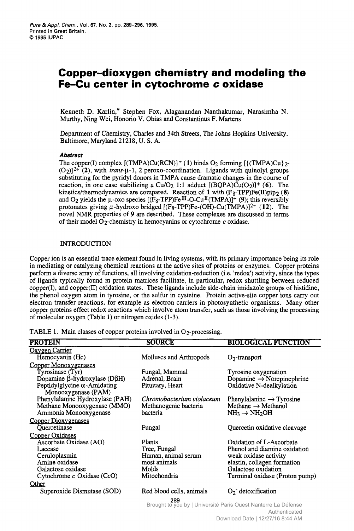# **Copper-dioxygen chemistry and modeling the Fe-Cu center in cytochrome c oxidase** *zystaling*<br>**oxidase**<br><sub>akumar. Narasimha N.</sub>

Murthy, Ning Wei, Honorio V. Obias and Constantinus F. Martens Kenneth D. Karlin,\* Stephen Fox, Alaganandan Nanthakumar, Narasimha N. Kenneth D. Karlin,\* Stephen Fox, Alaganandan Nanthakumar, Narasimha N.<br>Murthy, Ning Wei, Honorio V. Obias and Constantinus F. Martens<br>Department of Chemistry, Charles and 34th Streets, The Johns Hopkins University,<br>Baltimo

# **Abstract**

The copper(I) complex  $[(TMPA)Cu(RCN)]^+(1)$  binds O<sub>2</sub> forming  $[(TMPA)Cu]_{2}$ - $(O_2)$ <sup>2+</sup> (2), with *trans*- $\mu$ -1, 2 peroxo-coordination. Ligands with quinolyl groups substituting for the pyridyl donors in TMPA cause dramatic changes in the course of reaction, in one case stabilizing a Cu/O<sub>2</sub> 1:1 adduct  $[(BQPA)\tilde{Cu}(O_2)]^+$  (6). The kinetics/thermodynamics are compared. Reaction of 1 with (F<sub>8</sub>-TPP)Fe(II)pip<sub>2</sub> ( novel NMR properties of **9** are described. These complexes are discussed in terms protonates giving  $\mu$ -hydroxo bridged  $[(F_8-TPP)Fe-(OH)-Cu(TMPA)]^{2+}$  (12). The and O<sub>2</sub> yields the  $\mu$ -oxo species  $[(F_8-TPP)Fe^{III}-O-Cu^{II}(TMPA)]^+$  (9); this reversibly **(8) zyxwvutsrqponmlkjihgfedcbaZYXWVUTSRQPONMLKJIHGFEDCBA** of their model 02-chemistry in hemocyanins or cytochrome *c* oxidase.

# **INTRODUCTION**

Copper ion is an essential trace element found in living systems, with its primary importance being its role in mediating or catalyzing chemical reactions at the active sites of proteins or enzymes. Copper proteins perform a diverse array of functions, all involving oxidation-reduction (i.e. 'redox') activity, since the types of ligands typically found in protein matrices facilitate, in particular, redox shuttling between reduced  $copper(I)$ , and  $copper(I)$  oxidation states. These ligands include side-chain imidazole groups of histidine, the phenol oxygen atom in tyrosine, or the sulfur in cysteine. Protein active-site copper ions carry out electron transfer reactions, for example as electron carriers in photosynthetic organisms. Many other copper proteins effect redox reactions which involve atom transfer, such as those involving the processing of molecular oxygen (Table *1)* or nitrogen oxides *(1-3). n*, and copper (II) oxidation states. These ligands include side-chain imidazole groups of histidine, on any color oxygen atom in tyorsine, or the sulfur in cysteme. Protein active-site copper ions carry out transfer reac

| Pure & Appl. Chem., Vol. 67, No. 2, pp. 289-296, 1995.<br>Printed in Great Britain.<br>C 1995 IUPAC<br>Copper-dioxygen chemistry and modeling the<br>Fe-Cu center in cytochrome c oxidase<br>Kenneth D. Karlin,* Stephen Fox, Alaganandan Nanthakumar, Narasimha N.<br>Murthy, Ning Wei, Honorio V. Obias and Constantinus F. Martens<br>Department of Chemistry, Charles and 34th Streets, The Johns Hopkins University,<br>Baltimore, Maryland 21218, U.S.A.<br>Abstract<br>The copper(I) complex $[(TMPA)Cu(RCN)]+(1)$ binds O <sub>2</sub> forming $[(TMPA)Cu)_{2}-(TMPA)$<br>$(O_2)]^{2+}(2)$ , with <i>trans-</i> $\mu$ -1, 2 peroxo-coordination. Ligands with quinolyl groups substituting for the pyridyl donors in TMPA cause dramatic changes in the course of<br>reaction, in one case stabilizing a $Cu/O2$ 1:1 adduct $[(BQPA)\tilde{Cu}(O2)]$ <sup>+</sup> (6). The<br>kinetics/thermodynamics are compared. Reaction of 1 with $(F_8-TPP)Fe(II)pip_2(8)$ |  |
|--------------------------------------------------------------------------------------------------------------------------------------------------------------------------------------------------------------------------------------------------------------------------------------------------------------------------------------------------------------------------------------------------------------------------------------------------------------------------------------------------------------------------------------------------------------------------------------------------------------------------------------------------------------------------------------------------------------------------------------------------------------------------------------------------------------------------------------------------------------------------------------------------------------------------------------------------------------------------|--|
|                                                                                                                                                                                                                                                                                                                                                                                                                                                                                                                                                                                                                                                                                                                                                                                                                                                                                                                                                                          |  |
|                                                                                                                                                                                                                                                                                                                                                                                                                                                                                                                                                                                                                                                                                                                                                                                                                                                                                                                                                                          |  |
|                                                                                                                                                                                                                                                                                                                                                                                                                                                                                                                                                                                                                                                                                                                                                                                                                                                                                                                                                                          |  |
|                                                                                                                                                                                                                                                                                                                                                                                                                                                                                                                                                                                                                                                                                                                                                                                                                                                                                                                                                                          |  |
|                                                                                                                                                                                                                                                                                                                                                                                                                                                                                                                                                                                                                                                                                                                                                                                                                                                                                                                                                                          |  |
|                                                                                                                                                                                                                                                                                                                                                                                                                                                                                                                                                                                                                                                                                                                                                                                                                                                                                                                                                                          |  |
|                                                                                                                                                                                                                                                                                                                                                                                                                                                                                                                                                                                                                                                                                                                                                                                                                                                                                                                                                                          |  |
|                                                                                                                                                                                                                                                                                                                                                                                                                                                                                                                                                                                                                                                                                                                                                                                                                                                                                                                                                                          |  |
|                                                                                                                                                                                                                                                                                                                                                                                                                                                                                                                                                                                                                                                                                                                                                                                                                                                                                                                                                                          |  |
|                                                                                                                                                                                                                                                                                                                                                                                                                                                                                                                                                                                                                                                                                                                                                                                                                                                                                                                                                                          |  |
|                                                                                                                                                                                                                                                                                                                                                                                                                                                                                                                                                                                                                                                                                                                                                                                                                                                                                                                                                                          |  |
|                                                                                                                                                                                                                                                                                                                                                                                                                                                                                                                                                                                                                                                                                                                                                                                                                                                                                                                                                                          |  |
|                                                                                                                                                                                                                                                                                                                                                                                                                                                                                                                                                                                                                                                                                                                                                                                                                                                                                                                                                                          |  |
|                                                                                                                                                                                                                                                                                                                                                                                                                                                                                                                                                                                                                                                                                                                                                                                                                                                                                                                                                                          |  |
|                                                                                                                                                                                                                                                                                                                                                                                                                                                                                                                                                                                                                                                                                                                                                                                                                                                                                                                                                                          |  |
|                                                                                                                                                                                                                                                                                                                                                                                                                                                                                                                                                                                                                                                                                                                                                                                                                                                                                                                                                                          |  |
|                                                                                                                                                                                                                                                                                                                                                                                                                                                                                                                                                                                                                                                                                                                                                                                                                                                                                                                                                                          |  |
|                                                                                                                                                                                                                                                                                                                                                                                                                                                                                                                                                                                                                                                                                                                                                                                                                                                                                                                                                                          |  |
|                                                                                                                                                                                                                                                                                                                                                                                                                                                                                                                                                                                                                                                                                                                                                                                                                                                                                                                                                                          |  |
|                                                                                                                                                                                                                                                                                                                                                                                                                                                                                                                                                                                                                                                                                                                                                                                                                                                                                                                                                                          |  |
|                                                                                                                                                                                                                                                                                                                                                                                                                                                                                                                                                                                                                                                                                                                                                                                                                                                                                                                                                                          |  |
| and O <sub>2</sub> yields the $\mu$ -oxo species $[(\dot{F}_8 - TPP)F \cdot e^{I\pi} - O - Cu^{I\pi}(TMPA)]^+$ (9); this reversibly                                                                                                                                                                                                                                                                                                                                                                                                                                                                                                                                                                                                                                                                                                                                                                                                                                      |  |
| protonates giving $\mu$ -hydroxo bridged [(F <sub>8</sub> -TPP)Fe-(OH)-Cu(TMPA)] <sup>2+</sup> (12). The<br>novel NMR properties of 9 are described. These complexes are discussed in terms                                                                                                                                                                                                                                                                                                                                                                                                                                                                                                                                                                                                                                                                                                                                                                              |  |
| of their model $O_2$ -chemistry in hemocyanins or cytochrome c oxidase.                                                                                                                                                                                                                                                                                                                                                                                                                                                                                                                                                                                                                                                                                                                                                                                                                                                                                                  |  |
| <b>INTRODUCTION</b><br>Copper ion is an essential trace element found in living systems, with its primary importance being its role                                                                                                                                                                                                                                                                                                                                                                                                                                                                                                                                                                                                                                                                                                                                                                                                                                      |  |
| in mediating or catalyzing chemical reactions at the active sites of proteins or enzymes. Copper proteins                                                                                                                                                                                                                                                                                                                                                                                                                                                                                                                                                                                                                                                                                                                                                                                                                                                                |  |
| in morning of the array of functions, all involving oxidation-reduction (i.e. 'redox') activity, since the types<br>of ligands typically found in protein matrices facilitate, in particular, redox shuttling between reduced<br>cop<br>the phenol oxygen atom in tyrosine, or the sulfur in cysteine. Protein active-site copper ions carry out                                                                                                                                                                                                                                                                                                                                                                                                                                                                                                                                                                                                                         |  |
| electron transfer reactions, for example as electron carriers in photosynthetic organisms. Many other<br>copper proteins effect redox reactions which involve atom transfer, such as those involving the processing                                                                                                                                                                                                                                                                                                                                                                                                                                                                                                                                                                                                                                                                                                                                                      |  |
| of molecular oxygen (Table 1) or nitrogen oxides (1-3).<br>TABLE 1. Main classes of copper proteins involved in O <sub>2</sub> -processing.                                                                                                                                                                                                                                                                                                                                                                                                                                                                                                                                                                                                                                                                                                                                                                                                                              |  |
| <b>PROTEIN</b><br><b>SOURCE</b><br><b>BIOLOGICAL FUNCTION</b><br>Oxygen Carrier                                                                                                                                                                                                                                                                                                                                                                                                                                                                                                                                                                                                                                                                                                                                                                                                                                                                                          |  |
| Molluscs and Arthropods<br>Hemocyanin (Hc)<br>$O_2$ -transport<br>Copper Monoxygenases<br>Tyrosinase (Tyr)<br>Fungal, Mammal<br>Tyrosine oxygenation                                                                                                                                                                                                                                                                                                                                                                                                                                                                                                                                                                                                                                                                                                                                                                                                                     |  |
| Dopamine $\rightarrow$ Norepinephrine<br>Dopamine $\beta$ -hydroxylase (D $\beta$ H)<br>Adrenal, Brain<br>Peptidylglycine $\alpha$ -Amidating<br>Oxidative N-dealkylation<br>Pituitary, Heart<br>Monooxygenase (PAM)                                                                                                                                                                                                                                                                                                                                                                                                                                                                                                                                                                                                                                                                                                                                                     |  |
| Phenylalanine Hydroxylase (PAH)<br>Chromobacterium violaceum<br>Phenylalanine $\rightarrow$ Tyrosine<br>Methane Monooxygenase (MMO)<br>Methanogenic bacteria<br>Methane $\rightarrow$ Methanol<br>$NH_3 \rightarrow NH_2OH$<br>bacteria<br>Ammonia Monooxygenase                                                                                                                                                                                                                                                                                                                                                                                                                                                                                                                                                                                                                                                                                                         |  |
| Copper Dioxygenases<br>Quercetinase<br>Fungal<br>Quercetin oxidative cleavage                                                                                                                                                                                                                                                                                                                                                                                                                                                                                                                                                                                                                                                                                                                                                                                                                                                                                            |  |
| Copper Oxidases<br>Ascorbate Oxidase (AO)<br>Oxidation of L-Ascorbate<br>Plants<br>Tree, Fungal<br>Phenol and diamine oxidation<br>Laccase                                                                                                                                                                                                                                                                                                                                                                                                                                                                                                                                                                                                                                                                                                                                                                                                                               |  |
| Human, animal serum<br>weak oxidase activity<br>Ceruloplasmin<br>Amine oxidase<br>elastin, collagen formation<br>Galactose oxidation<br>most animals<br>Molds<br>Galactose oxidase                                                                                                                                                                                                                                                                                                                                                                                                                                                                                                                                                                                                                                                                                                                                                                                       |  |
| Cytochrome c Oxidase (CcO)<br>Terminal oxidase (Proton pump)<br>Mitochondria<br>Other                                                                                                                                                                                                                                                                                                                                                                                                                                                                                                                                                                                                                                                                                                                                                                                                                                                                                    |  |
| Superoxide Dismutase (SOD)<br>Red blood cells, animals<br>$O_2$ detoxification<br>289<br>Brought to you by   Université Paris Ouest Nanterre La Défense                                                                                                                                                                                                                                                                                                                                                                                                                                                                                                                                                                                                                                                                                                                                                                                                                  |  |
| Authenticated<br>Download Date   12/27/16 8:44 AM                                                                                                                                                                                                                                                                                                                                                                                                                                                                                                                                                                                                                                                                                                                                                                                                                                                                                                                        |  |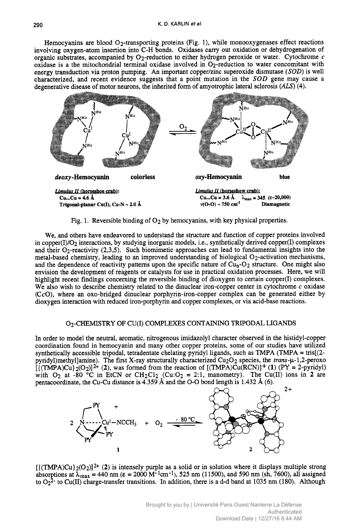Hemocyanins are blood  $O<sub>2</sub>$ -transporting proteins (Fig. 1), while monooxygenases effect reactions involving oxygen-atom insertion into C-H bonds. Oxidases carry out oxidation or dehydrogenation of organic substrates, accompanied by  $O_2$ -reduction to either hydrogen peroxide or water. Cytochrome c Examples are blood  $O_2$ -transporting proteins (Fig. 1), while monooxygenases effect reactions<br>involving oxygen-atom insertion into C-H bonds. Oxidases carry out oxidation or dehydrogenation of<br>organic substrates, accompa oxidase is a the mitochondrial terminal oxidase involved in  $O_2$ -reduction to water concomitant with energy transduction via proton pumping. An important copper/zinc superoxide dismutase (SOD) is well energy transduction via proteins (Fig. 1), while monooxygenases effect reactions<br>involving oxygen-atom insertion into C-H bonds. Oxidases carry out oxidation or dehydrogenation of<br>organic substrates, accompanied by O<sub>2</sub>-re characterized, and recent evidence suggests that a point mutation in the *SOD* gene may cause a degenerative disease of motor neurons, the inherited form of amyotrophic lateral sclerosis  $(ALS)$  (4).



Fig. 1. Reversible binding of O<sub>2</sub> by hemocyanins, with key physical properties.

We, and others have endeavored to understand the structure and function of copper proteins involved in copper(I)/O2 interactions, by studying inorganic models, i.e., synthetically derived copper(1) complexes and their 02-reactivity (2,3,5). Such biomimetic approaches can lead to fundamental insights into the metal-based chemistry, leading to an improved understanding of biological 02-activation mechanisms, and the dependence of reactivity patterns upon the specific nature of  $Cu<sub>n</sub>-O<sub>2</sub>$  structure. One might also envision the development of reagents or catalysts for use in practical oxidation processes. Here, we will highlight recent findings concerning the reversible binding of dioxygen to certain copper(I) complexes. We also wish to describe chemistry related to the dinuclear iron-copper center in cytochrome *c* oxidase  $(CcO)$ , where an  $oxo$ -bridged dinuclear porphyrin-iron-copper complex can be generated either by dioxygen interaction with reduced iron-porphyrin and copper complexes, or via acid-base reactions.

## 02-CHEMISTRY OF CU(1) COMPLEXES CONTAINING TRIPODAL LIGANDS

In order to model the neutral, aromatic, nitrogenous imidazolyl character observed in the histidyl-copper coordination found in hemocyanin and many other copper proteins, some of our studies have utilized synthetically accessible tripodal, tetradentate chelating pyridyl ligands, such as TMPA (TMPA = tris[(2 pyridyl)methyl]amine). The first X-ray structurally characterized Cu<sub>2</sub>O<sub>2</sub> species, the *trans-*µ-1,2-peroxo  $[(\text{TMPA})\text{Cu}]_2(\text{O}_2)]^{2+}$  (2), was formed from the reaction of  $[(\text{TMPA})\text{Cu}(\text{RCN})]^+$  (1)  $(\text{PY} = 2$ -pyridyl) with  $O_2$  at -80 °C in EtCN or  $CH_2Cl_2$  (Cu: $O_2 = 2:1$ , manometry). The Cu(II) ions in 2 are In order to model the neutral, aromatic, nitrogenous imidazolyl character observed in the histidyl-copper coordination found in hemocyanin and many other copper proteins, some of our studies have utilized synthetically ac



 $[{(TMPA)Cu}^2(0_2)]^2$ <sup>+</sup> (2) is intensely purple as a solid or in solution where it displays multiple strong absorptions at  $\lambda_{\text{max}} = 440 \text{ nm}$  ( $\epsilon = 2000 \text{ M}^{-1} \text{cm}^{-1}$ ), 525 nm (11500), and 590 nm (sh, 7600), all assigned to  $O_2^2$ <sup>-</sup> to Cu(II) charge-transfer transitions. In addition, there is a d-d band at 1035 nm (180). Although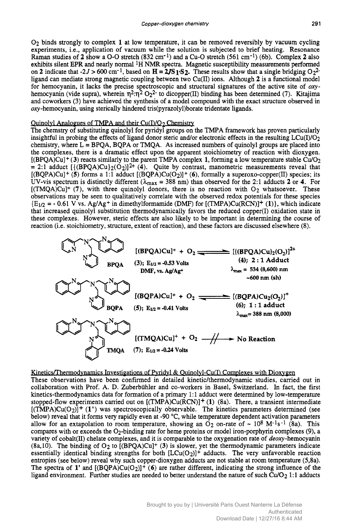Copper-dioxygen chemistry<br>
O<sub>2</sub> binds strongly to complex 1 at low temperature, it can be removed reversibly by vacuum cycling<br>
experiments, i.e., application of vacuum while the solution is subjected to brief heating. Res temperature, it can be removed reversibly by vacuum cycling experiments, i.e., application of vacuum while the solution is subjected to brief heating. Resonance Raman studies of 2 show a O-O stretch (832 cm<sup>-1</sup>) and a Cu-O stretch (561 cm<sup>-1</sup>) (6b). Complex 2 also Copper-dioxygen chemistry 291<br>
O<sub>2</sub> binds strongly to complex 1 at low temperature, it can be removed reversibly by vacuum cycling<br>
experiments, i.e., application of vacuum while the solution is subjected to brief heating exhibits silent EPR and nearly normal <sup>1</sup>H NMR spectra. Magnetic susceptibility measurements performed on 2 indicate that -2J > 600 cm<sup>-1</sup>, based on  $H = 2JS_1.S_2$ . These results show that a single bridging O<sub>2</sub><sup>2</sup>-Copper-dioxygen chemistry<br>
O<sub>2</sub> binds strongly to complex 1 at low temperature, it can be removed reversibly by vacuum cycling<br>
experiments, i.e., application of vacuum while the solution is subjected to brief heating. Re ligand can mediate strong magnetic coupling between two Cu(II) ions. Although 2 is a functional model<br>for hemocyanin, it lacks the precise spectroscopic and structural signatures of the active site of  $\alpha$ y-O<sub>2</sub> binds strongly to complex 1 at low temperature, it can be removed reversibly by vacuum cycling experiments, i.e., application of vacuum while the solution is subjected to brief heating. Resonance Raman studies of 2 s hemocyanin (vide supra), wherein  $\eta^2:\eta^2 O_2^2$  to dicopper(II) binding has been determined (7). Kitajima and coworkers (3) have achieved the synthesis of a model compound with the exact structure observed in **oxy** -hernocyanin, using sterically hindered tris(pyrazoly1)borate tridentate ligands. on a mandiate strong magnetic coupling between two Cu(II) ions. Although 2 is a functional model<br>for hemocyanin, it lacks the precise spectroscopic and structural signatures of the active site of *oxy*-<br>hemocyanin (vide s

The chemstry of substituting quinolyl for pyridyl groups on the TMPA framework has proven particularly insightful in probing the effects of ligand donor steric and/or electronic effects in the resulting  $LCu(I)/O<sub>2</sub>$ chemistry, where  $L = BPQA$ , BQPA or TMQA. As increased numbers of quinolyl groups are placed into the complexes, there is a dramatic effect upon the apparent stoichiometry of reaction with dioxygen.  $[(BPQA)Cu] + (3)$  reacts similarly to the parent TMPA complex 1, forming a low temperature stable Cu/O<sub>2</sub>  $= 2:1$  adduct  $[(BPQA)Cu]_2(O_2)]^{2+}(4)$ . Quite by contrast, manometric measurements reveal that [(BQPA)Cu]<sup>+</sup> (5) forms a 1:1 adduct [(BQPA)Cu(O<sub>2</sub>)]<sup>+</sup> (6), formally a superoxo-copper(II) species; its UV-vis spectrum is distinctly different ( $\lambda_{\text{max}} = 388$  nm) than observed for the 2:1 adducts 2 or 4. For The chematy of substituting quinting provided for steric and/or telectronic effects in the resulting LCu(I)/O<sub>2</sub><br>chemistry, where L = BPQA, BQPA or TMQA. As increased numbers of quinoly l groups are placed into<br>the comple  $[(TMQA)Cu]^{+}$  (7), with three quinolyl donors, there is no reaction with  $O_2$  whatsoever. These observations may be seen to qualitatively correlate with the observed redox potentials for these species  ${E_{1/2} = -0.61 \text{ V} \text{ vs. } Ag/\text{Ag}^+ \text{ in dimethylformamide (DMF) for [(TMPA)Cu(RCN)]}^+ (1)}$ , which indicate that increased quinolyl substitution thermodynamically favors the reduced copper(1) oxidation state in these complexes. However, steric effects are also likely to be important in determining the course of reaction (i.e. stoichiometry, structure, extent of reaction), and these factors are discussed elsewhere (8). where  $\frac{1}{2}$ <br>with three quality of the second value of the second value of the second of the second of the second property structure.<br>Second the second substitution of the second structure of the second second second s



# Kinetics/Thermodynamics Investigations of Pyridyl & Quinolyl-Cu(I) Complexes with Dioxygen

These observations have been confirmed in detailed kinetic/thermodynamic studies, carried out in collaboration with Prof. A. D. Zuberbuhler and co-workers in Basel, Switzerland. In fact, the first kinetics-thermodynamics data for formation of a primary **1: 1** adduct were determined by low-temperature stopped-flow experiments carried out on [(TMPA)Cu(RCN)]+ **(1)** (8a). There, a transient intermediate  $[(\text{TMPA})Cu(O_2)]^+$  (1') was spectroscopically observable. The kinetics parameters determined (see below) reveal that it forms very rapidly even at -90 "C, while temperature dependent activation parameters allow for an extapolation to room temperature, showing an  $O_2$  on-rate of ~ 10<sup>8</sup> M<sup>-1</sup>s<sup>-1</sup> (8a). This compares with or exceeds the 02-binding rate for heme proteins or model iron-porphyrin complexes **(9),** a variety of cobalt(II) chelate complexes, and it is comparable to the oxygenation rate of deoxy-hemocyanin (8a,10). The binding of 02 to [(BPQA)Cu]+ **(3)** is slower, yet the thermodynamic parameters indicate essentially identical binding strengths for both  $[LCu(O<sub>2</sub>)]^+$  adducts. The very unfavorable reaction entropies (see below) reveal why such copper-dioxygen adducts are not stable at room temperature (5,8a). The spectra of 1' and  $[(BQPA)Cu(O<sub>2</sub>)]$ <sup>+</sup> (6) are rather different, indicating the strong influence of the ligand environment. Further studies are needed to better understand the nature of such Cu/O<sub>2</sub> 1:1 adducts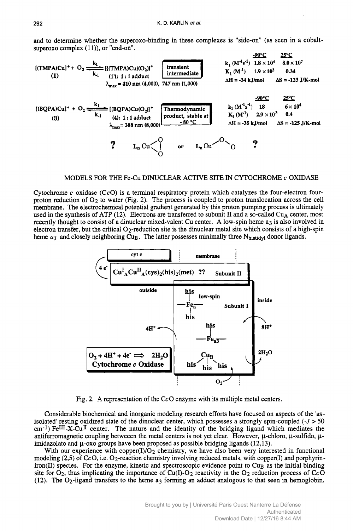$K. D. KARLIN et al.$ and to determine whether the superoxo-binding in these complexes is "side-on" (as seen in a cobalt-<br>superoxo complex (11)), or "end-on".



Cytochrome *c* oxidase (CcO) is a terminal respiratory protein which catalyzes the four-electron fourproton reduction of 02 to water (Fig. **2).** The process is coupled to proton translocation across the cell membrane. The electrochemical potential gradient generated by this proton pumping process is ultimately used in the synthesis of ATP (12). Electrons are transferred to subunit II and a so-called Cu<sub>A</sub> center, most recently thought to consist of a dinuclear mixed-valent Cu center. A low-spin heme a<sub>3</sub> is also involved in electron transfer, but the critical  $O_2$ -reduction site is the dinuclear metal site which consists of a high-spin heme *a<sub>3</sub>* and closely neighboring Cu<sub>B</sub>. The latter possesses minimally three N<sub>histidyl</sub> donor ligands.



Fig. 2. A representation of the CcO enzyme with its multiple metal centers.

Considerable biochemical and inorganic modeling research efforts have focused on aspects of the 'asisolated' resting oxidized state of the dinuclear center, which possesses a strongly spin-coupled  $(-J > 50$  $\text{cm}^{-1}$ ) FeIII-X-Cu<sup>II</sup> center. The nature and the identity of the bridging ligand which mediates the antiferromagnetic coupling betweeen the metal centers is not yet clear. However,  $\mu$ -chloro,  $\mu$ -sulfido,  $\mu$ imidazolato and  $\mu$ -oxo groups have been proposed as possible bridging ligands (12,13).

With our experience with copper(I)/O<sub>2</sub> chemistry, we have also been very interested in functional modeling (2,5) of CcO, i.e. O<sub>2</sub>-reaction chemistry involving reduced metals, with copper(I) and porphyriniron(II) species. For the enzyme, kinetic and spectroscopic evidence point to Cu<sub>B</sub> as the initial binding site for  $O_2$ , thus implicating the importance of Cu(I)-O<sub>2</sub> reactivity in the O<sub>2</sub> reduction process of CcO (12). The  $O_2$ -ligand transfers to the heme a<sub>3</sub> forming an adduct analogous to that seen in hemoglobin.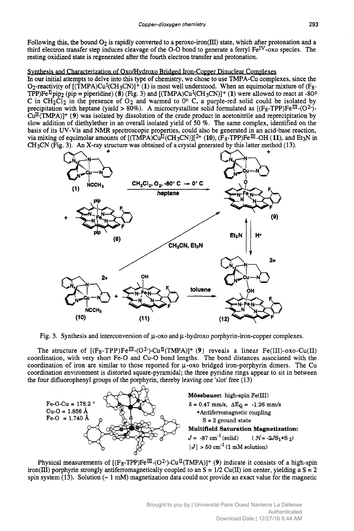Copper-dioxygen chemistry 293<br>Following this, the bound  $O_2$  is rapidly converted to a peroxo-iron(III) state, which after protonation and a<br>third electron transfer step induces cleavage of the O-O bond to generate a ferr to a peroxo-iron(II1) state, which after protonation and a third electron transfer step induces cleavage of the O-O bond to generate a ferryl Fe<sup>IV</sup>-oxo species. The esting oxidized state is regenerated after the fourth electron transfer and protonation. resting oxidized state is regenerated after the fourth electron transfer and protonation. <sup>293</sup><br> **z**<br> **zy**-oxo species. The<br>
plexes

# sis and Characterization of Oxo/Hydroxo Bridged Iron-Copper Dinuclear Complexes

In our initial attempts to delve into this type of chemistry, we chose to use TMPA-Cu complexes, since the O<sub>2</sub>-reactivity of  $[(\hat{T}MPA)Cu^I(CH_3CN)]^+(1)$  is most well understood. When an equimolar mixture of (F<sub>8</sub>-TPP)Fe<sup>II</sup> pip<sub>2</sub> (pip = piperidine) (8) (Fig. 3) and  $[(\hat{T}MPA)Cu^I(CH_3CN)]^+(1)$  were allowed to react at -80<sup>o</sup> Following this, the bound O<sub>2</sub> is rapidly converted to a peroxo-iron(III) state, which after protonation and a<br>third electron transfer step induces cleavage of the O-O bond to generate a ferryl Fe<sup>IV</sup>-oxo species. The<br>res C in  $CH_2Cl_2$  in the presence of  $O_2$  and warmed to  $0^\circ$  C, a purple-red solid could be isolated by precipitation with heptane (yield > 80%). A microcrystalline solid formulated as  $[(F_8-TPP)Fe^{III}-(O^2) \text{Cu}^{\text{II}}(\text{TMPA})$ <sup>+</sup> (9) was isolated by dissolution of the crude product in acetonitrile and reprecipitation by slow addition of diethylether in an overall isolated yield of 50 %. The same complex, identified on the basis of its UV-Vis and NMR spectroscopic properties, could also be generated in an acid-base reaction, via mixing of equimolar amounts of  $[(TMPA)Cu^{II}(CH_3CN)][^{2+} (10), (F_8-TPP)Fe^{III} - OH (11),$  and Et<sub>3</sub>N in CH3CN (Fig. **3). An** X-ray structure was obtained of a crystal generated by this latter method (13).



Fig. 3. Synthesis and interconversion of  $\mu$ -oxo and  $\mu$ -hydroxo porphyrin-iron-copper complexes.

The structure of  $[(F_8-TPP)Fe^{\Pi}-(O^2)-Cu^{\Pi}(TMPA)]+$  (9) reveals a linear Fe(III)-oxo-Cu(II) coordination, with very short Fe-0 and **Cu-0** bond lengths. The bond distances associated with the coordination of iron are similar to those reported for  $\mu$ -oxo bridged iron-porphyrin dimers. The Cu coordination environment is distorted square-pyramidal; the three pyridine rings appear to sit in between the four difluorophenyl groups of the porphyrin, thereby leaving one 'slot' free (13)



Physical measurements of  $[(F_8-TPP)Fe^{III}-(O^2)-Cu^{II}(TMPA)]+ (9)$  indicate it consists of a high-spin iron(III) porphyrin strongly antiferromagnetically coupled to an  $S = 1/2$  Cu(II) ion center, yielding a  $S = 2$ spin system  $(13)$ . Solution  $(-1 \text{ mM})$  magnetization data could not provide an exact value for the magnetic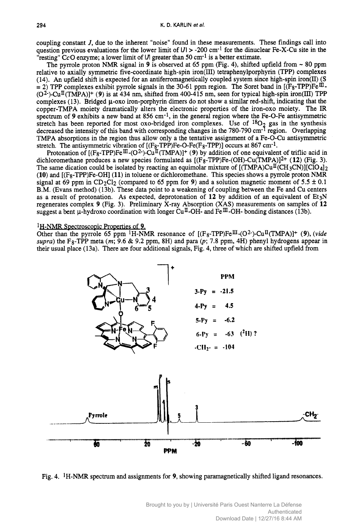coupling constant J, due to the inherent "noise" found in these measurements. These findings call into **<sup>294</sup>zyxwvutsrqponmlkjihgfedcbaZYXWVUTSRQPONMLKJIHGFEDCBA** *zyxwvutsrqponmlkjihgfedcbaZYXWVUTSRQPONMLKJIHGFEDCBA J,* due to the inherent "noise" zyxwvutsrq<br>ponmlkjihovutsrqponmlkjihgfedcbaZYX<br>ponmlkjihovutsrqponmlkjihgfedcbaZYXWVUTSRQPONMLKJIHG question previous evaluations for the lower limit of  $|J| > -200$  cm<sup>-1</sup> for the dinuclear Fe-X-Cu site in the "resting" CcO enzyme; a lower limit of  $J$  greater than 50 cm<sup>-1</sup> is a better extimate.

The pyrrole proton NMR signal in **9** is observed at 65 ppm (Fig. 4), shifted upfield from - 80 ppm relative to axially symmetric five-coordinate high-spin iron(II1) tetraphenylporphyrin (TPP) complexes  $(14)$ . An upfield shift is expected for an antiferromagnetically coupled system since high-spin iron $(II)$  (S  $=$  2) TPP complexes exhibit pyrrole signals in the 30-61 ppm region. The Soret band in  $[(F_8-TPP)Fe^{\Pi} (O^2)$ -Cu<sup>II</sup>(TMPA)]<sup>+</sup> (9) is at 434 nm, shifted from 400-415 nm, seen for typical high-spin iron(III) TPP complexes (13). Bridged  $\mu$ -oxo iron-porphyrin dimers do not show a similar red-shift, indicating that the copper-TMPA moiety dramatically alters the electronic properties of the iron-oxo moiety. The IR spectrum of **9** exhibits a new band at 856 cm-1, in the general region where the Fe-O-Fe antisymmetric stretch has been reported for most oxo-bridged iron complexes. Use of <sup>18</sup>O<sub>2</sub> gas in the synthesis decreased the intensity of this band with corresponding changes in the 780-790 cm<sup>-1</sup> region. Overlapping TMPA absorptions in the region thus allow only a the tentative assignment of a Fe-O-Cu antisymmetric stretch. The antisymmetric vibration of  $[(F_8-TPP)Fe-O-Fe(F_8-TPP)]$  occurs at 867 cm<sup>-1</sup>.

Protonation of  $[(F_8 - TPP)Fe^{\text{III}} - (O^2) - Cu^{\text{II}} (TMPA)]^+$  (9) by addition of one equivalent of triflic acid in dichloromethane produces a new species formulated as  $[(F_8 - TPP)Fe-(OH)-Cu(TMPA)]^2+ (12)$  (Fig. 3). The same dication could be isolated by reacting an equimolar mixture of  $[(TMPA)Cu<sup>T</sup>(CH<sub>3</sub>CN)][ClO<sub>4</sub>]$ <sub>2</sub> **(10)** and  $[(F_8 - TPP)Fe-OH]$  **(11)** in toluene or dichloromethane. This species shows a pyrrole proton NMR signal at 69 ppm in CD<sub>2</sub>Cl<sub>2</sub> (compared to 65 ppm for 9) and a solution magnetic moment of 5.5  $\pm$  0.1 decreased the intensity of this band with corresponding changes in the 780-790 cm<sup>-1</sup> region. Overlapping TMPA absorptions in the region thus allow only a the tentative assignment of a Fe-O-Cu antisymmetric stretch. The a B.M. (Evans method) (13b). These data point to a weakening of coupling between the Fe and Cu centers as a result of protonation. As expected, deprotonation of **12** by addition of an equivalent of Et3N regenerates complex **9** (Fig. 3). Preliminary X-ray Absorption (XAS) measurements on samples of **12**  suggest a bent  $\mu$ -hydroxo coordination with longer Cu<sup>II</sup>-OH- and Fe<sup>III</sup>-OH- bonding distances (13b). 119) and [(F<sub>8</sub>-1FF)re-Ori] (11) in toutene of uctinotometrialle. This spectes shows a pyrrole proton for 5.5 ± 0.1<br>
1 B.M. (Evans method) (13b). These data point to a weakening of coupling between the Fe and Cu centers<br>

Other than the pyrrole 65 ppm <sup>1</sup>H-NMR resonance of  $[(F_8-TPP)Fe^{III}-(O^2)-Cu^{II}(TMPA)]+$  **(9)**, *(vide*  $supra)$  the F<sub>8</sub>-TPP meta  $(m, 9.6 \& 9.2$  ppm, 8H) and para  $(p, 7.8$  ppm, 4H) phenyl hydrogens appear in their usual place (13a). There are four additional signals, Fig. 4, three of which are shifted upfield from



Fig. 4. IH-NMR spectrum and assignments for **9,** showing paramagnetically shifted ligand resonances.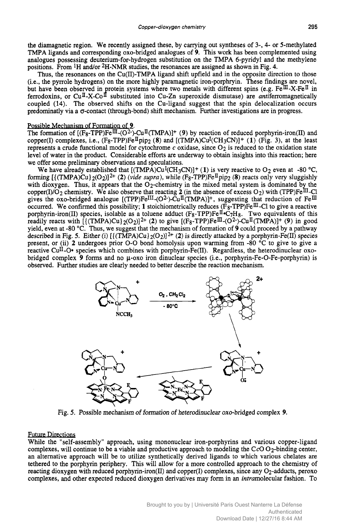the diamagnetic region. We recently assigned these, by carrying <sup>295</sup><br>
out syntheses of 3-, 4- or 5-methylated<br>
is work has been complemented using<br> **27 EXPA** 6-pyridyl and the methylene TMPA ligands **and** corresponding 0x0-bridged analogues of **9.** This work has been complemented using analogues possessing deuterium-for-hydrogen substitution on the TMPA 6-pyridyl and the methylene positions. From  ${}^{1}$ H and/or  ${}^{2}$ H-NMR studies, the resonances are assigned as shown in Fig. 4. copper-dioxygen chemistry 295<br>the diamagnetic region. We recently assigned these, by carrying out syntheses of 3-, 4- or 5-methylated<br>TMPA ligands and corresponding oxo-bridged analogues of 9. This work has been complement

Thus, the resonances on the Cu(II)-TMPA ligand shift upfield and in the opposite direction to those (i.e., the pyrrole hydrogens) on the more highly paramagnetic iron-porphryin. These findings are novel, but have been observed in protein systems where two metals with different spins (e.g. Fe $^{\text{III}}$ -X-Fe<sup>II</sup> in coupled **(14).** The observed shifts on the Cu-ligand suggest that the spin delocalization occurs predominatly via a  $\sigma$ -contact (through-bond) shift mechanism. Further investigations are in progress. ferrodoxins, or  $Cu^{\text{II}}-X-Co^{\text{II}}$  substituted into Cu-Zn superoxide dismutase) are *antiferromagnetically* 

# Possible Mechanism of Formation of 9.

The formation of  $[(F_8-TPP)Fe^{\overline{III}}-(O^2)-Cu^{\overline{II}}(TMPA)]+ (9)$  by reaction of reduced porphyrin-iron(II) and copper(I) complexes, i.e.,  $(F_8 - TPP)F_0^{\text{II}}$  pip<sub>2</sub> (8) and  $[(TMPA)Cu^{\text{I}}(CH_3CN)]^+$  (1)  $(Fig. 3)$ , at the least represents **a** crude functional model for cytochrome **c** oxidase, since 02 is reduced to the oxidation state level of water in the product. Considerable efforts are underway to obtain insights into this reaction; here we offer some preliminary observations and speculations. Possible Mechanism of Formation of 9.<br>The formation of  $[$ (F<sub>8</sub>-TPP)Fe<sup>III</sup>-(O<sup>2</sup>)-Cu<sup>II</sup>(TMPA)]<sup>+</sup> (9) by reaction of reduced porphyrin-iron(II) and<br>copper(I) complexes, i.e., (F<sub>8</sub>-TPP)Fe<sup>II</sup>pip<sub>2</sub> (8) and  $[(TMPA)Cu<sup>I</sup>($ 

We have already established that  $[(TMPA)Cu<sup>I</sup>(CH<sub>3</sub>CN)]+(1)$  is very reactive to O<sub>2</sub> even at -80 °C, forming  $[(TMPA)Cu)<sub>2</sub>(O<sub>2</sub>)]<sup>2+</sup> (2)$  (*vide supra*), while  $(F<sub>8</sub>-TPP)Fe<sup>H</sup>$ pip<sub>2</sub> (8) reacts only very sluggi with dioxygen. Thus, it appears that the  $O_2$ -chemistry in the mixed metal system is dominated by the copper(I)/O<sub>2</sub> chemistry. We also observe that reacting 2 (in the absence of excess O<sub>2</sub>) with (TPP)Fe<sup>III</sup>-Cl gives the 0x0-bridged analogue  $[(TPP)Fe^{III}-(O^2)-Cu^{II}(TMPA)]^+$ , suggesting that reduction of Fe<sup>III</sup> occurred. We confirmed this possibility; 1 stoichiometrically reduces (F<sub>8</sub>-TPP)Fe<sup>III</sup>-Cl to give a reactive porphyrin-iron(II) species, isolable as a toluene adduct  $(F_8 - TPP)Fe^{\mathbb{I} \bullet}C_7H_8$ . Two equivalents of this readily reacts with  $[(TMPA)Cu]_2(O_2)]^{2+}$  (2) to give  $[(F_8-TPP)Fe^{11}-(O^2)-(Cu^{11}(TMPA)]+$  (9) in good yield, even at -80 "C. Thus, we suggest that the mechanism of formation of **9** could proceed by a pathway described in Fig. 5. Either (i)  $[(\text{TMPA})\text{Cu}]_2(\text{O}_2)]^{2+}$  (2) is directly attacked by a porphyrin-Fe(II) species present, or (ii) 2 undergoes prior O-O bond homolysis upon warming from -80 °C to give to give a copper(I)/O<sub>2</sub> chemistry. We also observe that reacting 2 (in the absence of excess O<sub>2</sub>) with (TPP)Fe<sup>III</sup>-Cl<br>gives the oxo-bridged analogue [(TPP)Fe<sup>III</sup>-(O<sup>2</sup>)-Cu<sup>II</sup>(TMPA)]<sup>+</sup>, suggesting that reduction of Fe<sup>III</sup><br>occ reactive Cu<sup>II</sup>-O\* species which combines with porphyrin- $\text{Fe(II)}$ . Regardless, the heterodinuclear oxobridged complex 9 forms and no μ-oxo iron dinuclear species (i.e., porphyrin-Fe-O-Fe-porphyrin) is observed. Further studies are clearly needed to better describe the reaction mechanism.



## Future Directiom

While the "self-assembly" approach, using mononuclear iron-porphyrins and various copper-ligand complexes, will continue to be a viable and productive approach to modeling the  $CcO O_2$ -binding center, an alternative approach will be to utilize synthetically derived ligands to which various chelates are tethered to the porphyrin periphery. This will allow for a more controlled approach to the chemistry of reacting dioxygen with reduced porphyrin-iron(II) and copper(1) complexes, since any 02-adducts, peroxo complexes, and other expected reduced dioxygen derivatives may form in an intramolecular fashion. To